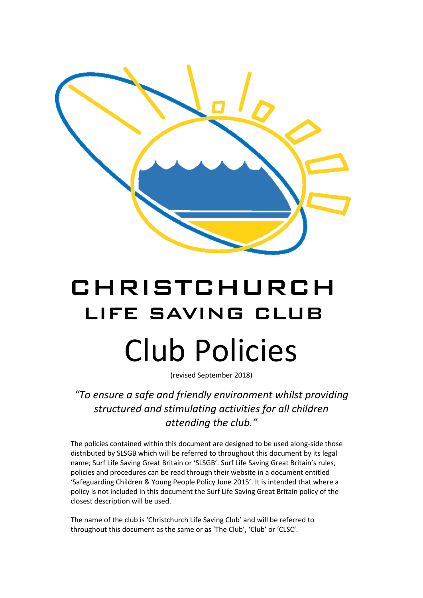

# CHRISTCHURCH LIFE SAVING CLUB Club Policies

(revised September 2018)

*"To ensure a safe and friendly environment whilst providing structured and stimulating activities for all children attending the club."*

The policies contained within this document are designed to be used along-side those distributed by SLSGB which will be referred to throughout this document by its legal name; Surf Life Saving Great Britain or 'SLSGB'. Surf Life Saving Great Britain's rules, policies and procedures can be read through their website in a document entitled 'Safeguarding Children & Young People Policy June 2015'. It is intended that where a policy is not included in this document the Surf Life Saving Great Britain policy of the closest description will be used.

The name of the club is 'Christchurch Life Saving Club' and will be referred to throughout this document as the same or as 'The Club', 'Club' or 'CLSC'.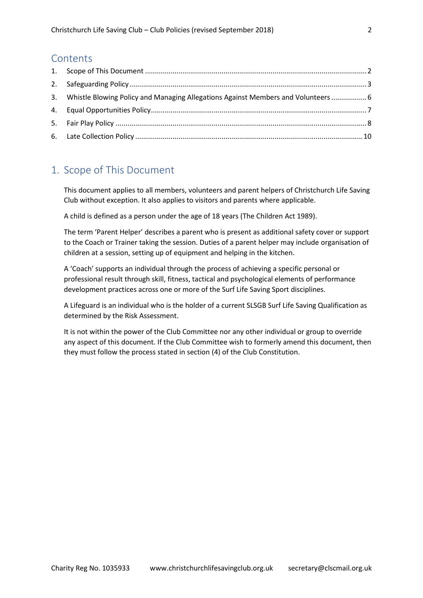#### **Contents**

| 3. Whistle Blowing Policy and Managing Allegations Against Members and Volunteers  6 |  |
|--------------------------------------------------------------------------------------|--|
|                                                                                      |  |
|                                                                                      |  |
|                                                                                      |  |

## <span id="page-1-0"></span>1. Scope of This Document

This document applies to all members, volunteers and parent helpers of Christchurch Life Saving Club without exception. It also applies to visitors and parents where applicable.

A child is defined as a person under the age of 18 years (The Children Act 1989).

The term 'Parent Helper' describes a parent who is present as additional safety cover or support to the Coach or Trainer taking the session. Duties of a parent helper may include organisation of children at a session, setting up of equipment and helping in the kitchen.

A 'Coach' supports an individual through the process of achieving a specific personal or professional result through skill, fitness, tactical and psychological elements of performance development practices across one or more of the Surf Life Saving Sport disciplines.

A Lifeguard is an individual who is the holder of a current SLSGB Surf Life Saving Qualification as determined by the Risk Assessment.

It is not within the power of the Club Committee nor any other individual or group to override any aspect of this document. If the Club Committee wish to formerly amend this document, then they must follow the process stated in section (4) of the Club Constitution.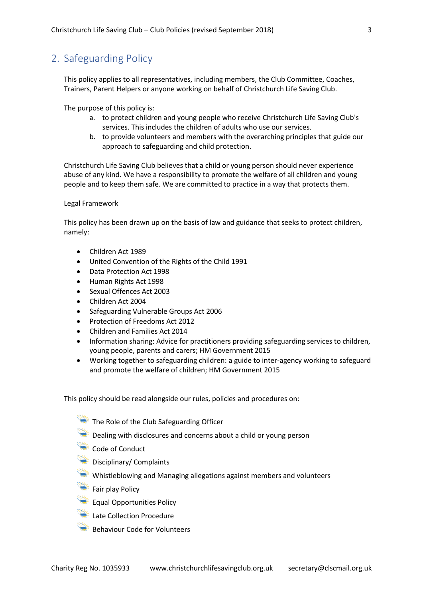## <span id="page-2-0"></span>2. Safeguarding Policy

This policy applies to all representatives, including members, the Club Committee, Coaches, Trainers, Parent Helpers or anyone working on behalf of Christchurch Life Saving Club.

The purpose of this policy is:

- a. to protect children and young people who receive Christchurch Life Saving Club's services. This includes the children of adults who use our services.
- b. to provide volunteers and members with the overarching principles that guide our approach to safeguarding and child protection.

Christchurch Life Saving Club believes that a child or young person should never experience abuse of any kind. We have a responsibility to promote the welfare of all children and young people and to keep them safe. We are committed to practice in a way that protects them.

Legal Framework

This policy has been drawn up on the basis of law and guidance that seeks to protect children, namely:

- Children Act 1989
- United Convention of the Rights of the Child 1991
- Data Protection Act 1998
- Human Rights Act 1998
- Sexual Offences Act 2003
- Children Act 2004
- Safeguarding Vulnerable Groups Act 2006
- Protection of Freedoms Act 2012
- Children and Families Act 2014
- Information sharing: Advice for practitioners providing safeguarding services to children, young people, parents and carers; HM Government 2015
- Working together to safeguarding children: a guide to inter-agency working to safeguard and promote the welfare of children; HM Government 2015

This policy should be read alongside our rules, policies and procedures on:

- The Role of the Club Safeguarding Officer
- $\blacktriangleright$  Dealing with disclosures and concerns about a child or young person
- Code of Conduct
- **Disciplinary/ Complaints**
- Whistleblowing and Managing allegations against members and volunteers
- Fair play Policy
- Equal Opportunities Policy
- **Late Collection Procedure**
- Behaviour Code for Volunteers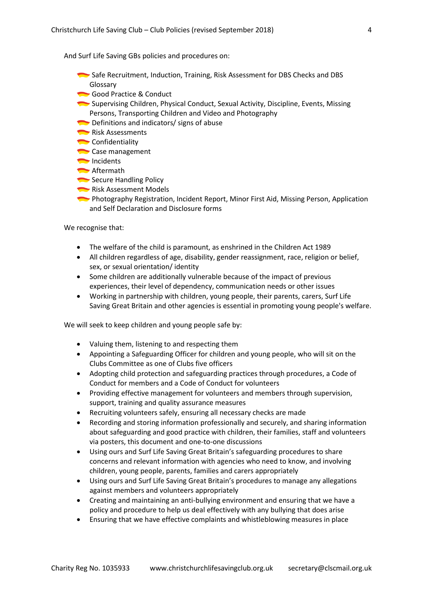And Surf Life Saving GBs policies and procedures on:

- Safe Recruitment, Induction, Training, Risk Assessment for DBS Checks and DBS Glossary
- Good Practice & Conduct
- Supervising Children, Physical Conduct, Sexual Activity, Discipline, Events, Missing Persons, Transporting Children and Video and Photography
- Definitions and indicators/ signs of abuse
- Risk Assessments
- Confidentiality
- Case management
- Incidents
- **Aftermath**
- Secure Handling Policy
- Risk Assessment Models
- Photography Registration, Incident Report, Minor First Aid, Missing Person, Application and Self Declaration and Disclosure forms

We recognise that:

- The welfare of the child is paramount, as enshrined in the Children Act 1989
- All children regardless of age, disability, gender reassignment, race, religion or belief, sex, or sexual orientation/ identity
- Some children are additionally vulnerable because of the impact of previous experiences, their level of dependency, communication needs or other issues
- Working in partnership with children, young people, their parents, carers, Surf Life Saving Great Britain and other agencies is essential in promoting young people's welfare.

We will seek to keep children and young people safe by:

- Valuing them, listening to and respecting them
- Appointing a Safeguarding Officer for children and young people, who will sit on the Clubs Committee as one of Clubs five officers
- Adopting child protection and safeguarding practices through procedures, a Code of Conduct for members and a Code of Conduct for volunteers
- Providing effective management for volunteers and members through supervision, support, training and quality assurance measures
- Recruiting volunteers safely, ensuring all necessary checks are made
- Recording and storing information professionally and securely, and sharing information about safeguarding and good practice with children, their families, staff and volunteers via posters, this document and one-to-one discussions
- Using ours and Surf Life Saving Great Britain's safeguarding procedures to share concerns and relevant information with agencies who need to know, and involving children, young people, parents, families and carers appropriately
- Using ours and Surf Life Saving Great Britain's procedures to manage any allegations against members and volunteers appropriately
- Creating and maintaining an anti-bullying environment and ensuring that we have a policy and procedure to help us deal effectively with any bullying that does arise
- Ensuring that we have effective complaints and whistleblowing measures in place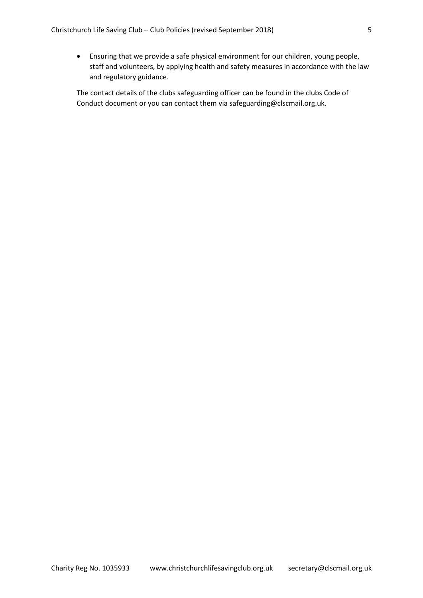• Ensuring that we provide a safe physical environment for our children, young people, staff and volunteers, by applying health and safety measures in accordance with the law and regulatory guidance.

The contact details of the clubs safeguarding officer can be found in the clubs Code of Conduct document or you can contact them via safeguarding@clscmail.org.uk.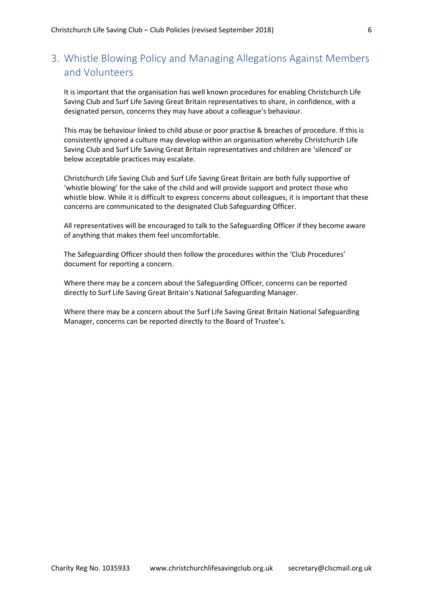## <span id="page-5-0"></span>3. Whistle Blowing Policy and Managing Allegations Against Members and Volunteers

It is important that the organisation has well known procedures for enabling Christchurch Life Saving Club and Surf Life Saving Great Britain representatives to share, in confidence, with a designated person, concerns they may have about a colleague's behaviour.

This may be behaviour linked to child abuse or poor practise & breaches of procedure. If this is consistently ignored a culture may develop within an organisation whereby Christchurch Life Saving Club and Surf Life Saving Great Britain representatives and children are 'silenced' or below acceptable practices may escalate.

Christchurch Life Saving Club and Surf Life Saving Great Britain are both fully supportive of 'whistle blowing' for the sake of the child and will provide support and protect those who whistle blow. While it is difficult to express concerns about colleagues, it is important that these concerns are communicated to the designated Club Safeguarding Officer.

All representatives will be encouraged to talk to the Safeguarding Officer if they become aware of anything that makes them feel uncomfortable.

The Safeguarding Officer should then follow the procedures within the 'Club Procedures' document for reporting a concern.

Where there may be a concern about the Safeguarding Officer, concerns can be reported directly to Surf Life Saving Great Britain's National Safeguarding Manager.

Where there may be a concern about the Surf Life Saving Great Britain National Safeguarding Manager, concerns can be reported directly to the Board of Trustee's.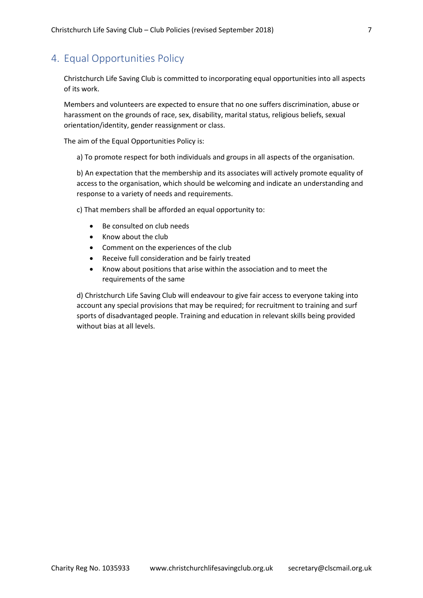## <span id="page-6-0"></span>4. Equal Opportunities Policy

Christchurch Life Saving Club is committed to incorporating equal opportunities into all aspects of its work.

Members and volunteers are expected to ensure that no one suffers discrimination, abuse or harassment on the grounds of race, sex, disability, marital status, religious beliefs, sexual orientation/identity, gender reassignment or class.

The aim of the Equal Opportunities Policy is:

a) To promote respect for both individuals and groups in all aspects of the organisation.

b) An expectation that the membership and its associates will actively promote equality of access to the organisation, which should be welcoming and indicate an understanding and response to a variety of needs and requirements.

c) That members shall be afforded an equal opportunity to:

- Be consulted on club needs
- Know about the club
- Comment on the experiences of the club
- Receive full consideration and be fairly treated
- Know about positions that arise within the association and to meet the requirements of the same

d) Christchurch Life Saving Club will endeavour to give fair access to everyone taking into account any special provisions that may be required; for recruitment to training and surf sports of disadvantaged people. Training and education in relevant skills being provided without bias at all levels.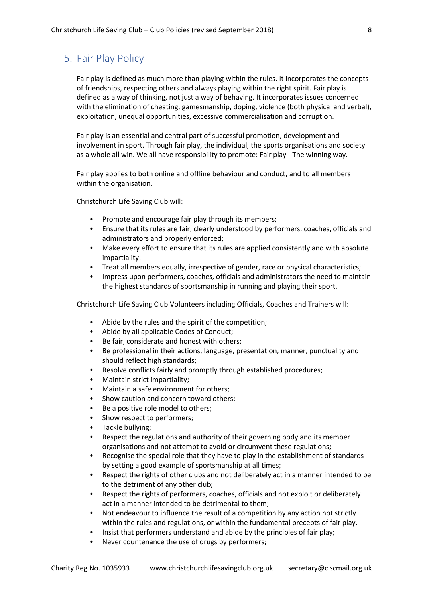### <span id="page-7-0"></span>5. Fair Play Policy

Fair play is defined as much more than playing within the rules. It incorporates the concepts of friendships, respecting others and always playing within the right spirit. Fair play is defined as a way of thinking, not just a way of behaving. It incorporates issues concerned with the elimination of cheating, gamesmanship, doping, violence (both physical and verbal), exploitation, unequal opportunities, excessive commercialisation and corruption.

Fair play is an essential and central part of successful promotion, development and involvement in sport. Through fair play, the individual, the sports organisations and society as a whole all win. We all have responsibility to promote: Fair play - The winning way.

Fair play applies to both online and offline behaviour and conduct, and to all members within the organisation.

Christchurch Life Saving Club will:

- Promote and encourage fair play through its members;
- Ensure that its rules are fair, clearly understood by performers, coaches, officials and administrators and properly enforced;
- Make every effort to ensure that its rules are applied consistently and with absolute impartiality:
- Treat all members equally, irrespective of gender, race or physical characteristics;
- Impress upon performers, coaches, officials and administrators the need to maintain the highest standards of sportsmanship in running and playing their sport.

Christchurch Life Saving Club Volunteers including Officials, Coaches and Trainers will:

- Abide by the rules and the spirit of the competition;
- Abide by all applicable Codes of Conduct;
- Be fair, considerate and honest with others;
- Be professional in their actions, language, presentation, manner, punctuality and should reflect high standards;
- Resolve conflicts fairly and promptly through established procedures;
- Maintain strict impartiality;
- Maintain a safe environment for others;
- Show caution and concern toward others;
- Be a positive role model to others;
- Show respect to performers;
- Tackle bullying;
- Respect the regulations and authority of their governing body and its member organisations and not attempt to avoid or circumvent these regulations;
- Recognise the special role that they have to play in the establishment of standards by setting a good example of sportsmanship at all times;
- Respect the rights of other clubs and not deliberately act in a manner intended to be to the detriment of any other club;
- Respect the rights of performers, coaches, officials and not exploit or deliberately act in a manner intended to be detrimental to them;
- Not endeavour to influence the result of a competition by any action not strictly within the rules and regulations, or within the fundamental precepts of fair play.
- Insist that performers understand and abide by the principles of fair play;
- Never countenance the use of drugs by performers;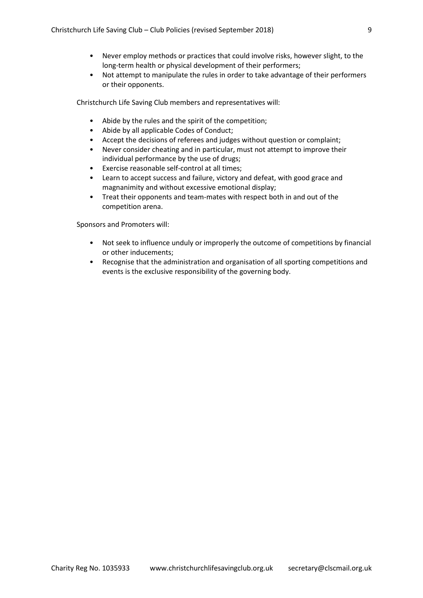- Never employ methods or practices that could involve risks, however slight, to the long-term health or physical development of their performers;
- Not attempt to manipulate the rules in order to take advantage of their performers or their opponents.

Christchurch Life Saving Club members and representatives will:

- Abide by the rules and the spirit of the competition;
- Abide by all applicable Codes of Conduct;
- Accept the decisions of referees and judges without question or complaint;
- Never consider cheating and in particular, must not attempt to improve their individual performance by the use of drugs;
- Exercise reasonable self-control at all times;
- Learn to accept success and failure, victory and defeat, with good grace and magnanimity and without excessive emotional display;
- Treat their opponents and team-mates with respect both in and out of the competition arena.

Sponsors and Promoters will:

- Not seek to influence unduly or improperly the outcome of competitions by financial or other inducements;
- Recognise that the administration and organisation of all sporting competitions and events is the exclusive responsibility of the governing body.